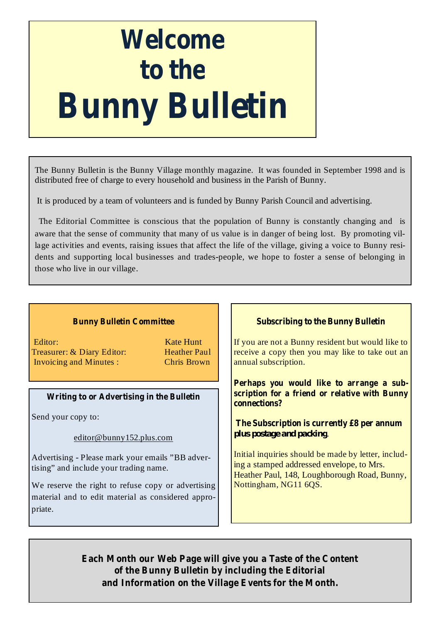# **Welcome to the Bunny Bulletin**

The Bunny Bulletin is the Bunny Village monthly magazine. It was founded in September 1998 and is distributed free of charge to every household and business in the Parish of Bunny.

It is produced by a team of volunteers and is funded by Bunny Parish Council and advertising.

The Editorial Committee is conscious that the population of Bunny is constantly changing and is aware that the sense of community that many of us value is in danger of being lost. By promoting village activities and events, raising issues that affect the life of the village, giving a voice to Bunny residents and supporting local businesses and trades-people, we hope to foster a sense of belonging in those who live in our village.

Editor: Kate Hunt Treasurer: & Diary Editor: Heather Paul Invoicing and Minutes : Chris Brown

#### **Writing to or Advertising in the Bulletin**

Send your copy to:

editor@bunny152.plus.com

Advertising - Please mark your emails "BB advertising" and include your trading name.

We reserve the right to refuse copy or advertising material and to edit material as considered appropriate.

#### **Bunny** Bulletin Committee **Subscribing to** the Bunny Bulletin

If you are not a Bunny resident but would like to receive a copy then you may like to take out an annual subscription.

**Perhaps you would like to arrange a subscription for a friend or relative with Bunny connections?**

**The Subscription is currently £8 per annum** . *plus postage and packing*

Initial inquiries should be made by letter, including a stamped addressed envelope, to Mrs. Heather Paul, 148, Loughborough Road, Bunny, Nottingham, NG11 6QS.

**Each Month our Web Page will give you a Taste of the Content of the Bunny Bulletin by including the Editorial and Information on the Village Events for the Month.**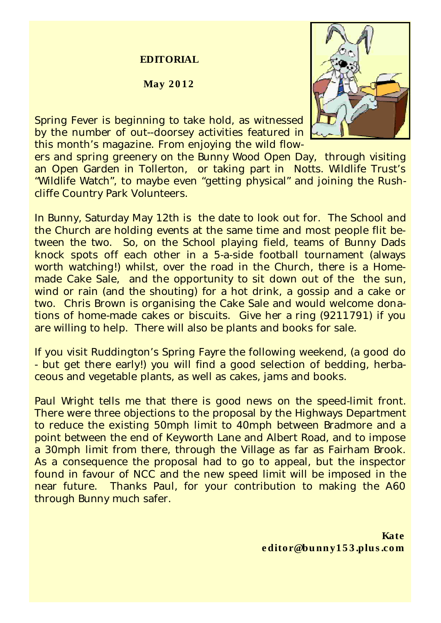#### **EDITORIAL**

#### **May 20 12**

Spring Fever is beginning to take hold, as witnessed by the number of out--doorsey activities featured in this month's magazine. From enjoying the wild flow-



ers and spring greenery on the Bunny Wood Open Day, through visiting an Open Garden in Tollerton, or taking part in Notts. Wildlife Trust's "Wildlife Watch", to maybe even "getting physical" and joining the Rushcliffe Country Park Volunteers.

In Bunny, Saturday May 12th is the date to look out for. The School and the Church are holding events at the same time and most people flit between the two. So, on the School playing field, teams of Bunny Dads knock spots off each other in a 5-a-side football tournament (always worth watching!) whilst, over the road in the Church, there is a Homemade Cake Sale, and the opportunity to sit down out of the the sun, wind or rain (and the shouting) for a hot drink, a gossip and a cake or two. Chris Brown is organising the Cake Sale and would welcome donations of home-made cakes or biscuits. Give her a ring (9211791) if you are willing to help. There will also be plants and books for sale.

If you visit Ruddington's Spring Fayre the following weekend, (a good do - but get there early!) you will find a good selection of bedding, herbaceous and vegetable plants, as well as cakes, jams and books.

Paul Wright tells me that there is good news on the speed-limit front. There were three objections to the proposal by the Highways Department to reduce the existing 50mph limit to 40mph between Bradmore and a point between the end of Keyworth Lane and Albert Road, and to impose a 30mph limit from there, through the Village as far as Fairham Brook. As a consequence the proposal had to go to appeal, but the inspector found in favour of NCC and the new speed limit will be imposed in the near future. Thanks Paul, for your contribution to making the A60 through Bunny much safer.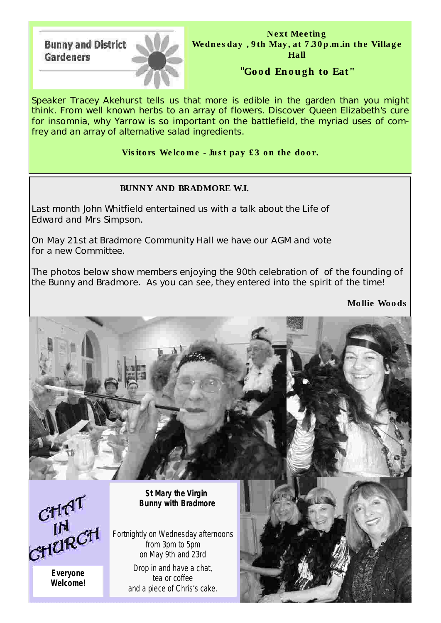**Bunny and District Gardeners** 



#### **Next Me e ting Wedne s day , 9 th May , at 7 .3 0 p.m.in the Villa g e Hall**

### **Good Enough to Eat"** "

Speaker Tracey Akehurst tells us that more is edible in the garden than you might think. From well known herbs to an array of flowers. Discover Queen Elizabeth's cure for insomnia, why Yarrow is so important on the battlefield, the myriad uses of comfrey and an array of alternative salad ingredients.

#### **Vis ito rs We lco me - Just pay £ 3 o n the do o r.**

#### **BUNNY AND BRADMORE W.I.**

Last month John Whitfield entertained us with a talk about the Life of Edward and Mrs Simpson.

On May 21st at Bradmore Community Hall we have our AGM and vote for a new Committee.

The photos below show members enjoying the 90th celebration of of the founding of the Bunny and Bradmore. As you can see, they entered into the spirit of the time!

**Mo llie Wo o ds**



*Fortnightly on Wednesday afternoons from 3pm to 5pm on May 9th and 23rd*

> *Drop in and have a chat, tea or coffee and a piece of Chris's cake.*

**Everyone Welcome!**